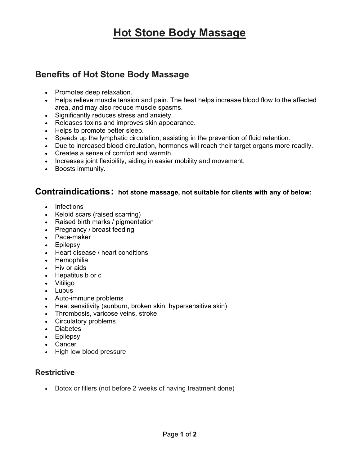# Hot Stone Body Massage

### Benefits of Hot Stone Body Massage

- Promotes deep relaxation.
- Helps relieve muscle tension and pain. The heat helps increase blood flow to the affected area, and may also reduce muscle spasms.
- Significantly reduces stress and anxiety.
- Releases toxins and improves skin appearance.
- Helps to promote better sleep.
- Speeds up the lymphatic circulation, assisting in the prevention of fluid retention.
- Due to increased blood circulation, hormones will reach their target organs more readily.
- Creates a sense of comfort and warmth.
- Increases joint flexibility, aiding in easier mobility and movement.
- Boosts immunity.

#### Contraindications: hot stone massage, not suitable for clients with any of below:

- Infections
- Keloid scars (raised scarring)
- Raised birth marks / pigmentation
- Pregnancy / breast feeding
- Pace-maker
- Epilepsy
- Heart disease / heart conditions
- Hemophilia
- Hiv or aids
- Hepatitus b or c
- Vitiligo
- Lupus
- Auto-immune problems
- Heat sensitivity (sunburn, broken skin, hypersensitive skin)
- Thrombosis, varicose veins, stroke
- Circulatory problems
- Diabetes
- Epilepsy
- Cancer
- High low blood pressure

#### **Restrictive**

• Botox or fillers (not before 2 weeks of having treatment done)